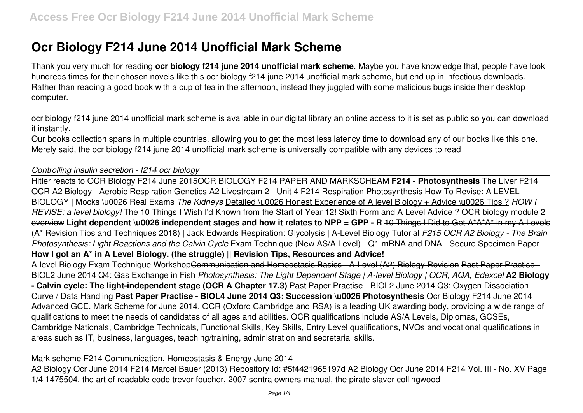# **Ocr Biology F214 June 2014 Unofficial Mark Scheme**

Thank you very much for reading **ocr biology f214 june 2014 unofficial mark scheme**. Maybe you have knowledge that, people have look hundreds times for their chosen novels like this ocr biology f214 june 2014 unofficial mark scheme, but end up in infectious downloads. Rather than reading a good book with a cup of tea in the afternoon, instead they juggled with some malicious bugs inside their desktop computer.

ocr biology f214 june 2014 unofficial mark scheme is available in our digital library an online access to it is set as public so you can download it instantly.

Our books collection spans in multiple countries, allowing you to get the most less latency time to download any of our books like this one. Merely said, the ocr biology f214 june 2014 unofficial mark scheme is universally compatible with any devices to read

#### *Controlling insulin secretion - f214 ocr biology*

Hitler reacts to OCR Biology F214 June 2015OCR BIOLOGY F214 PAPER AND MARKSCHEAM **F214 - Photosynthesis** The Liver F214 OCR A2 Biology - Aerobic Respiration Genetics A2 Livestream 2 - Unit 4 F214 Respiration Photosynthesis How To Revise: A LEVEL BIOLOGY | Mocks \u0026 Real Exams *The Kidneys* Detailed \u0026 Honest Experience of A level Biology + Advice \u0026 Tips ? *HOW I REVISE: a level biology!* The 10 Things I Wish I'd Known from the Start of Year 12! Sixth Form and A Level Advice ? OCR biology module 2 overview **Light dependent \u0026 independent stages and how it relates to NPP = GPP - R** 10 Things I Did to Get A\*A\*A\* in my A Levels (A\* Revision Tips and Techniques 2018) | Jack Edwards Respiration: Glycolysis | A-Level Biology Tutorial *F215 OCR A2 Biology - The Brain Photosynthesis: Light Reactions and the Calvin Cycle* Exam Technique (New AS/A Level) - Q1 mRNA and DNA - Secure Specimen Paper **How I got an A\* in A Level Biology. (the struggle) || Revision Tips, Resources and Advice!**

A-level Biology Exam Technique WorkshopCommunication and Homeostasis Basics - A-Level (A2) Biology Revision Past Paper Practise - BIOL2 June 2014 Q4: Gas Exchange in Fish *Photosynthesis: The Light Dependent Stage | A-level Biology | OCR, AQA, Edexcel* **A2 Biology - Calvin cycle: The light-independent stage (OCR A Chapter 17.3)** Past Paper Practise - BIOL2 June 2014 Q3: Oxygen Dissociation Curve / Data Handling **Past Paper Practise - BIOL4 June 2014 Q3: Succession \u0026 Photosynthesis** Ocr Biology F214 June 2014 Advanced GCE. Mark Scheme for June 2014. OCR (Oxford Cambridge and RSA) is a leading UK awarding body, providing a wide range of qualifications to meet the needs of candidates of all ages and abilities. OCR qualifications include AS/A Levels, Diplomas, GCSEs, Cambridge Nationals, Cambridge Technicals, Functional Skills, Key Skills, Entry Level qualifications, NVQs and vocational qualifications in areas such as IT, business, languages, teaching/training, administration and secretarial skills.

Mark scheme F214 Communication, Homeostasis & Energy June 2014 A2 Biology Ocr June 2014 F214 Marcel Bauer (2013) Repository Id: #5f4421965197d A2 Biology Ocr June 2014 F214 Vol. III - No. XV Page 1/4 1475504. the art of readable code trevor foucher, 2007 sentra owners manual, the pirate slaver collingwood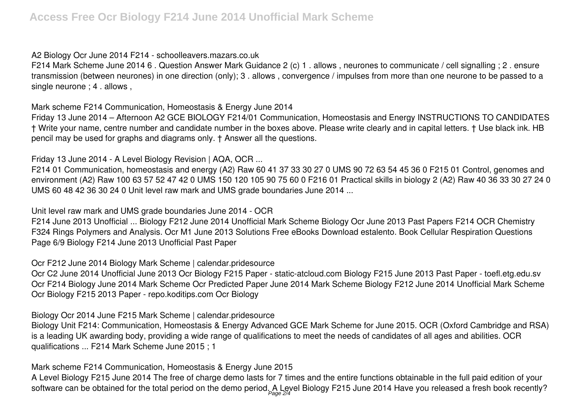A2 Biology Ocr June 2014 F214 - schoolleavers.mazars.co.uk

F214 Mark Scheme June 2014 6 . Question Answer Mark Guidance 2 (c) 1 . allows , neurones to communicate / cell signalling ; 2 . ensure transmission (between neurones) in one direction (only); 3 . allows , convergence / impulses from more than one neurone to be passed to a single neurone ; 4 . allows ,

Mark scheme F214 Communication, Homeostasis & Energy June 2014

Friday 13 June 2014 – Afternoon A2 GCE BIOLOGY F214/01 Communication, Homeostasis and Energy INSTRUCTIONS TO CANDIDATES † Write your name, centre number and candidate number in the boxes above. Please write clearly and in capital letters. † Use black ink. HB pencil may be used for graphs and diagrams only. † Answer all the questions.

Friday 13 June 2014 - A Level Biology Revision | AQA, OCR ...

F214 01 Communication, homeostasis and energy (A2) Raw 60 41 37 33 30 27 0 UMS 90 72 63 54 45 36 0 F215 01 Control, genomes and environment (A2) Raw 100 63 57 52 47 42 0 UMS 150 120 105 90 75 60 0 F216 01 Practical skills in biology 2 (A2) Raw 40 36 33 30 27 24 0 UMS 60 48 42 36 30 24 0 Unit level raw mark and UMS grade boundaries June 2014 ...

Unit level raw mark and UMS grade boundaries June 2014 - OCR

F214 June 2013 Unofficial ... Biology F212 June 2014 Unofficial Mark Scheme Biology Ocr June 2013 Past Papers F214 OCR Chemistry F324 Rings Polymers and Analysis. Ocr M1 June 2013 Solutions Free eBooks Download estalento. Book Cellular Respiration Questions Page 6/9 Biology F214 June 2013 Unofficial Past Paper

Ocr F212 June 2014 Biology Mark Scheme | calendar.pridesource

Ocr C2 June 2014 Unofficial June 2013 Ocr Biology F215 Paper - static-atcloud.com Biology F215 June 2013 Past Paper - toefl.etg.edu.sv Ocr F214 Biology June 2014 Mark Scheme Ocr Predicted Paper June 2014 Mark Scheme Biology F212 June 2014 Unofficial Mark Scheme Ocr Biology F215 2013 Paper - repo.koditips.com Ocr Biology

Biology Ocr 2014 June F215 Mark Scheme | calendar.pridesource

Biology Unit F214: Communication, Homeostasis & Energy Advanced GCE Mark Scheme for June 2015. OCR (Oxford Cambridge and RSA) is a leading UK awarding body, providing a wide range of qualifications to meet the needs of candidates of all ages and abilities. OCR qualifications ... F214 Mark Scheme June 2015 ; 1

Mark scheme F214 Communication, Homeostasis & Energy June 2015

A Level Biology F215 June 2014 The free of charge demo lasts for 7 times and the entire functions obtainable in the full paid edition of your software can be obtained for the total period on the demo period. A Level Biology F215 June 2014 Have you released a fresh book recently?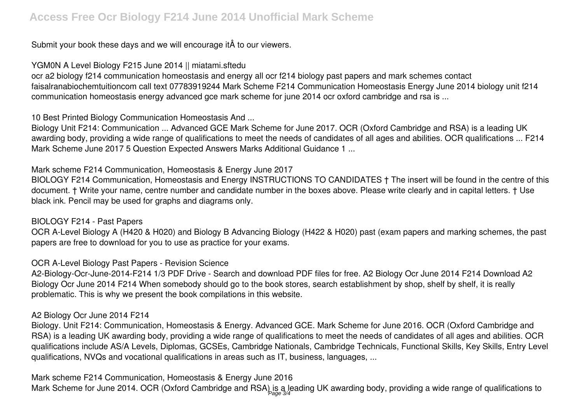Submit your book these days and we will encourage it  $\hat{A}$  to our viewers.

YGM0N A Level Biology F215 June 2014 || miatami.sftedu

ocr a2 biology f214 communication homeostasis and energy all ocr f214 biology past papers and mark schemes contact faisalranabiochemtuitioncom call text 07783919244 Mark Scheme F214 Communication Homeostasis Energy June 2014 biology unit f214 communication homeostasis energy advanced gce mark scheme for june 2014 ocr oxford cambridge and rsa is ...

10 Best Printed Biology Communication Homeostasis And ...

Biology Unit F214: Communication ... Advanced GCE Mark Scheme for June 2017. OCR (Oxford Cambridge and RSA) is a leading UK awarding body, providing a wide range of qualifications to meet the needs of candidates of all ages and abilities. OCR qualifications ... F214 Mark Scheme June 2017 5 Question Expected Answers Marks Additional Guidance 1 ...

Mark scheme F214 Communication, Homeostasis & Energy June 2017

BIOLOGY F214 Communication, Homeostasis and Energy INSTRUCTIONS TO CANDIDATES † The insert will be found in the centre of this document. † Write your name, centre number and candidate number in the boxes above. Please write clearly and in capital letters. † Use black ink. Pencil may be used for graphs and diagrams only.

#### BIOLOGY F214 - Past Papers

OCR A-Level Biology A (H420 & H020) and Biology B Advancing Biology (H422 & H020) past (exam papers and marking schemes, the past papers are free to download for you to use as practice for your exams.

## OCR A-Level Biology Past Papers - Revision Science

A2-Biology-Ocr-June-2014-F214 1/3 PDF Drive - Search and download PDF files for free. A2 Biology Ocr June 2014 F214 Download A2 Biology Ocr June 2014 F214 When somebody should go to the book stores, search establishment by shop, shelf by shelf, it is really problematic. This is why we present the book compilations in this website.

## A2 Biology Ocr June 2014 F214

Biology. Unit F214: Communication, Homeostasis & Energy. Advanced GCE. Mark Scheme for June 2016. OCR (Oxford Cambridge and RSA) is a leading UK awarding body, providing a wide range of qualifications to meet the needs of candidates of all ages and abilities. OCR qualifications include AS/A Levels, Diplomas, GCSEs, Cambridge Nationals, Cambridge Technicals, Functional Skills, Key Skills, Entry Level qualifications, NVQs and vocational qualifications in areas such as IT, business, languages, ...

Mark scheme F214 Communication, Homeostasis & Energy June 2016 Mark Scheme for June 2014. OCR (Oxford Cambridge and RSA) is a leading UK awarding body, providing a wide range of qualifications to